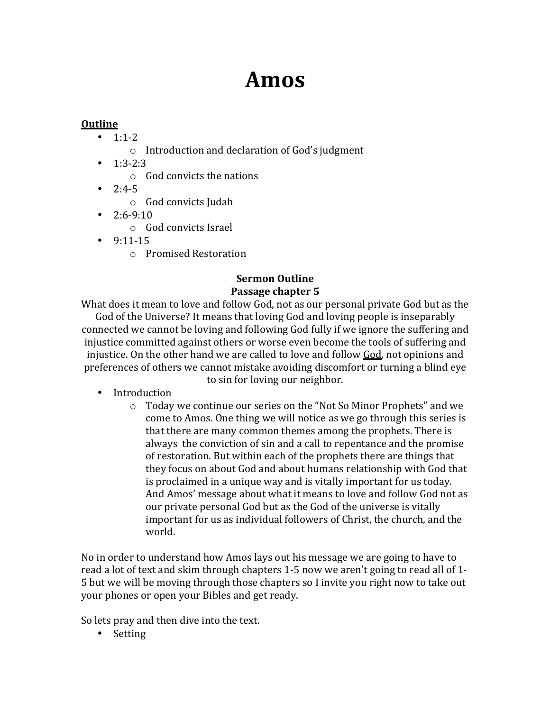# **Amos**

## **Outline**

- $1:1-2$ 
	- $\circ$  Introduction and declaration of God's judgment
- $\cdot$  1:3-2:3
	- $\circ$  God convicts the nations
- $2:4-5$ 
	- $\circ$  God convicts Judah
- $\cdot$  2:6-9:10
	- o God convicts Israel
- $•$  9:11-15
	- o Promised Restoration

#### **Sermon Outline** Passage chapter 5

What does it mean to love and follow God, not as our personal private God but as the God of the Universe? It means that loving God and loving people is inseparably connected we cannot be loving and following God fully if we ignore the suffering and injustice committed against others or worse even become the tools of suffering and injustice. On the other hand we are called to love and follow God, not opinions and preferences of others we cannot mistake avoiding discomfort or turning a blind eye to sin for loving our neighbor.

- Introduction
	- $\circ$  Today we continue our series on the "Not So Minor Prophets" and we come to Amos. One thing we will notice as we go through this series is that there are many common themes among the prophets. There is always the conviction of sin and a call to repentance and the promise of restoration. But within each of the prophets there are things that they focus on about God and about humans relationship with God that is proclaimed in a unique way and is vitally important for us today. And Amos' message about what it means to love and follow God not as our private personal God but as the God of the universe is vitally important for us as individual followers of Christ, the church, and the world.

No in order to understand how Amos lays out his message we are going to have to read a lot of text and skim through chapters 1-5 now we aren't going to read all of 1-5 but we will be moving through those chapters so I invite you right now to take out your phones or open your Bibles and get ready.

So lets pray and then dive into the text.

• Setting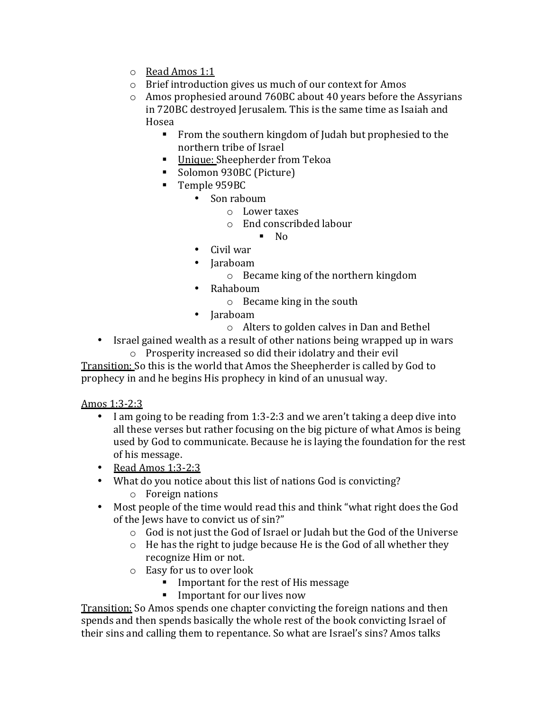- o Read Amos 1:1
- $\circ$  Brief introduction gives us much of our context for Amos
- $\circ$  Amos prophesied around 760BC about 40 years before the Assyrians in 720BC destroyed Jerusalem. This is the same time as Isaiah and Hosea
	- From the southern kingdom of Judah but prophesied to the northern tribe of Israel
	- Unique: Sheepherder from Tekoa
	- Solomon 930BC (Picture)
	- Temple 959BC
		- Son raboum
			- o Lower taxes
			- o End conscribded labour

 $\blacksquare$  No

- $\bullet$  Civil war
- Jaraboam
	- $\circ$  Became king of the northern kingdom
- Rahaboum
	- $\circ$  Became king in the south
- Jaraboam
	- $\circ$  Alters to golden calves in Dan and Bethel
- Israel gained wealth as a result of other nations being wrapped up in wars  $\circ$  Prosperity increased so did their idolatry and their evil

Transition: So this is the world that Amos the Sheepherder is called by God to prophecy in and he begins His prophecy in kind of an unusual way.

## Amos 1:3-2:3

- I am going to be reading from 1:3-2:3 and we aren't taking a deep dive into all these verses but rather focusing on the big picture of what Amos is being used by God to communicate. Because he is laying the foundation for the rest of his message.
- Read Amos  $1:3-2:3$
- What do you notice about this list of nations God is convicting?
	- $\circ$  Foreign nations
- Most people of the time would read this and think "what right does the God of the Jews have to convict us of sin?"
	- $\circ$  God is not just the God of Israel or Judah but the God of the Universe
	- $\circ$  He has the right to judge because He is the God of all whether they recognize Him or not.
	- $\circ$  Easy for us to over look
		- Important for the rest of His message
		- Important for our lives now

Transition: So Amos spends one chapter convicting the foreign nations and then spends and then spends basically the whole rest of the book convicting Israel of their sins and calling them to repentance. So what are Israel's sins? Amos talks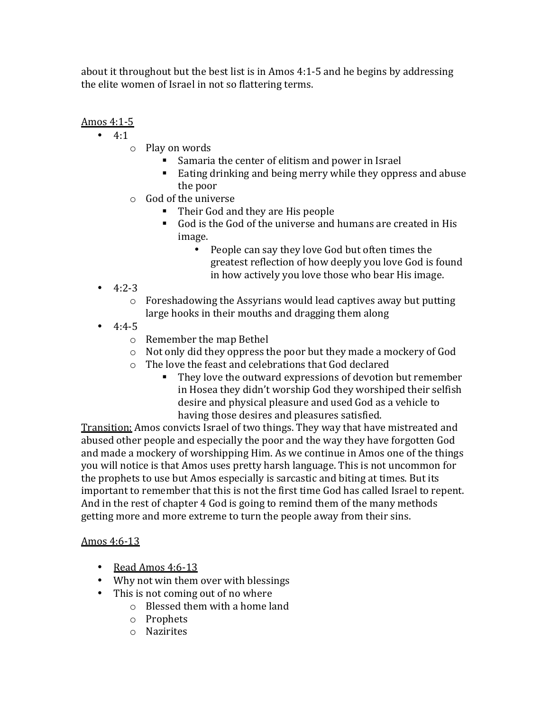about it throughout but the best list is in Amos 4:1-5 and he begins by addressing the elite women of Israel in not so flattering terms.

# Amos 4:1-5

- $4:1$ 
	- $\circ$  Play on words
		- Samaria the center of elitism and power in Israel
		- Eating drinking and being merry while they oppress and abuse the poor
	- $\circ$  God of the universe
		- Their God and they are His people
		- God is the God of the universe and humans are created in His image.
			- People can say they love God but often times the greatest reflection of how deeply you love God is found in how actively you love those who bear His image.
- $4:2-3$ 
	- $\circ$  Foreshadowing the Assyrians would lead captives away but putting large hooks in their mouths and dragging them along
- $4:4-5$ 
	- $\circ$  Remember the map Bethel
	- $\circ$  Not only did they oppress the poor but they made a mockery of God
	- $\circ$  The love the feast and celebrations that God declared
		- They love the outward expressions of devotion but remember in Hosea they didn't worship God they worshiped their selfish desire and physical pleasure and used God as a vehicle to having those desires and pleasures satisfied.

Transition: Amos convicts Israel of two things. They way that have mistreated and abused other people and especially the poor and the way they have forgotten God and made a mockery of worshipping Him. As we continue in Amos one of the things you will notice is that Amos uses pretty harsh language. This is not uncommon for the prophets to use but Amos especially is sarcastic and biting at times. But its important to remember that this is not the first time God has called Israel to repent. And in the rest of chapter 4 God is going to remind them of the many methods getting more and more extreme to turn the people away from their sins.

## Amos 4:6-13

- Read Amos 4:6-13
- Why not win them over with blessings
- This is not coming out of no where
	- $\circ$  Blessed them with a home land
	- o Prophets
	- o Nazirites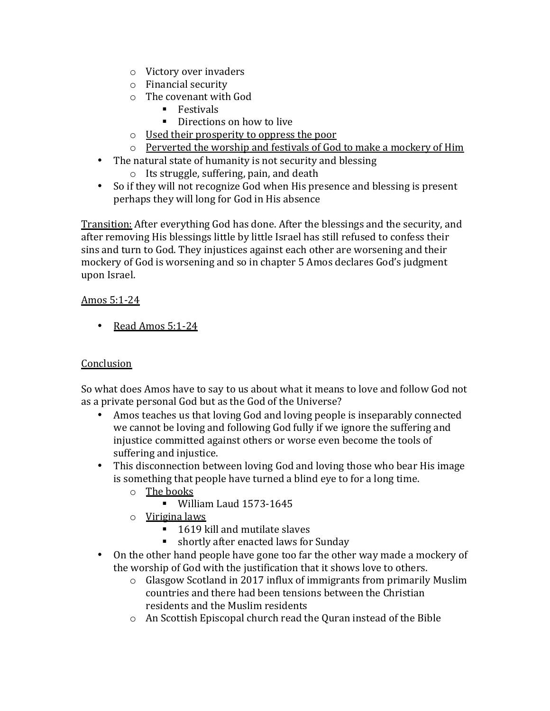- $\circ$  Victory over invaders
- $\circ$  Financial security
- $\circ$  The covenant with God
	- Festivals
	- Directions on how to live
- $\circ$  Used their prosperity to oppress the poor
- $\circ$  Perverted the worship and festivals of God to make a mockery of Him
- The natural state of humanity is not security and blessing
	- $\circ$  Its struggle, suffering, pain, and death
- So if they will not recognize God when His presence and blessing is present perhaps they will long for God in His absence

Transition: After everything God has done. After the blessings and the security, and after removing His blessings little by little Israel has still refused to confess their sins and turn to God. They injustices against each other are worsening and their mockery of God is worsening and so in chapter 5 Amos declares God's judgment upon Israel. 

## Amos 5:1-24

• Read Amos 5:1-24

## **Conclusion**

So what does Amos have to say to us about what it means to love and follow God not as a private personal God but as the God of the Universe?

- Amos teaches us that loving God and loving people is inseparably connected we cannot be loving and following God fully if we ignore the suffering and injustice committed against others or worse even become the tools of suffering and injustice.
- This disconnection between loving God and loving those who bear His image is something that people have turned a blind eye to for a long time.
	- $\circ$  The books
		- § William Laud 1573-1645
	- $\circ$  Virigina laws
		- 1619 kill and mutilate slaves
		- shortly after enacted laws for Sunday
- On the other hand people have gone too far the other way made a mockery of the worship of God with the justification that it shows love to others.
	- $\circ$  Glasgow Scotland in 2017 influx of immigrants from primarily Muslim countries and there had been tensions between the Christian residents and the Muslim residents
	- $\circ$  An Scottish Episcopal church read the Quran instead of the Bible